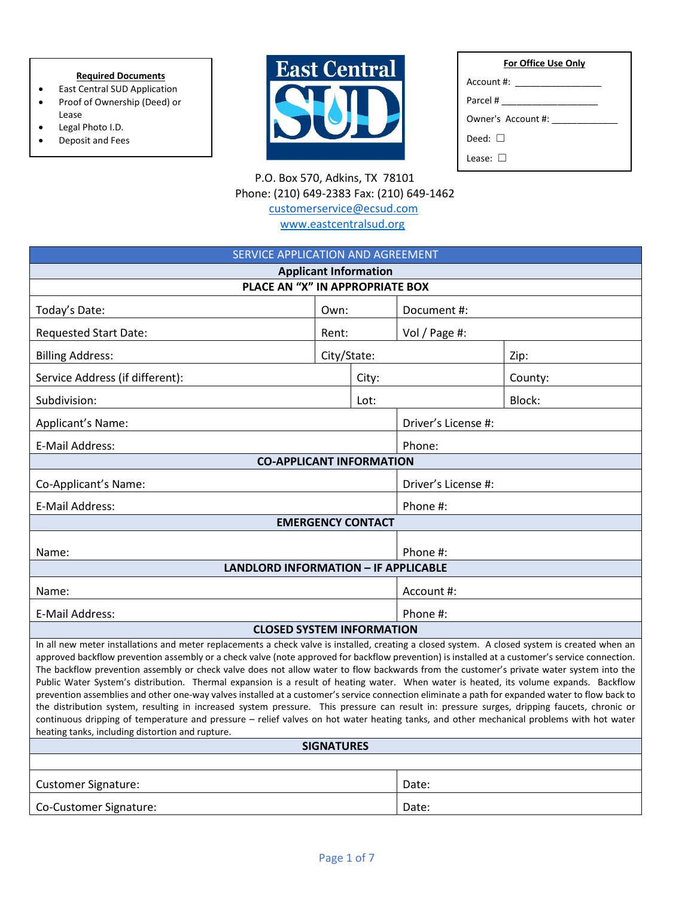### **Required Documents**

- East Central SUD Application • Proof of Ownership (Deed) or
- Lease
- Legal Photo I.D.
- Deposit and Fees



| For Office Use Only |
|---------------------|
|                     |
|                     |
| Owner's Account #:  |
| Deed: $\Box$        |
| lease: II           |

 P.O. Box 570, Adkins, TX 78101 Phone: (210) 649-2383 Fax: (210) 649-1462 [customerservice@ecsud.com](mailto:customerservice@ecsud.com)

[www.eastcentralsud.org](http://www.eastcentralsud.org/)

| SERVICE APPLICATION AND AGREEMENT                                                                                                                                                                                                                                                                                                                                                                                                                                                                                                                                                                                                                                                                                                                                                                                                                                                                                                                                                                                                                                                         |             |  |                     |         |  |  |
|-------------------------------------------------------------------------------------------------------------------------------------------------------------------------------------------------------------------------------------------------------------------------------------------------------------------------------------------------------------------------------------------------------------------------------------------------------------------------------------------------------------------------------------------------------------------------------------------------------------------------------------------------------------------------------------------------------------------------------------------------------------------------------------------------------------------------------------------------------------------------------------------------------------------------------------------------------------------------------------------------------------------------------------------------------------------------------------------|-------------|--|---------------------|---------|--|--|
| <b>Applicant Information</b>                                                                                                                                                                                                                                                                                                                                                                                                                                                                                                                                                                                                                                                                                                                                                                                                                                                                                                                                                                                                                                                              |             |  |                     |         |  |  |
| PLACE AN "X" IN APPROPRIATE BOX                                                                                                                                                                                                                                                                                                                                                                                                                                                                                                                                                                                                                                                                                                                                                                                                                                                                                                                                                                                                                                                           |             |  |                     |         |  |  |
| Today's Date:                                                                                                                                                                                                                                                                                                                                                                                                                                                                                                                                                                                                                                                                                                                                                                                                                                                                                                                                                                                                                                                                             | Own:        |  | Document #:         |         |  |  |
| <b>Requested Start Date:</b>                                                                                                                                                                                                                                                                                                                                                                                                                                                                                                                                                                                                                                                                                                                                                                                                                                                                                                                                                                                                                                                              | Rent:       |  | Vol / Page #:       |         |  |  |
| <b>Billing Address:</b>                                                                                                                                                                                                                                                                                                                                                                                                                                                                                                                                                                                                                                                                                                                                                                                                                                                                                                                                                                                                                                                                   | City/State: |  | Zip:                |         |  |  |
| Service Address (if different):                                                                                                                                                                                                                                                                                                                                                                                                                                                                                                                                                                                                                                                                                                                                                                                                                                                                                                                                                                                                                                                           | City:       |  |                     | County: |  |  |
| Subdivision:                                                                                                                                                                                                                                                                                                                                                                                                                                                                                                                                                                                                                                                                                                                                                                                                                                                                                                                                                                                                                                                                              | Lot:        |  |                     | Block:  |  |  |
| Applicant's Name:                                                                                                                                                                                                                                                                                                                                                                                                                                                                                                                                                                                                                                                                                                                                                                                                                                                                                                                                                                                                                                                                         |             |  | Driver's License #: |         |  |  |
| E-Mail Address:                                                                                                                                                                                                                                                                                                                                                                                                                                                                                                                                                                                                                                                                                                                                                                                                                                                                                                                                                                                                                                                                           |             |  | Phone:              |         |  |  |
| <b>CO-APPLICANT INFORMATION</b>                                                                                                                                                                                                                                                                                                                                                                                                                                                                                                                                                                                                                                                                                                                                                                                                                                                                                                                                                                                                                                                           |             |  |                     |         |  |  |
| Co-Applicant's Name:                                                                                                                                                                                                                                                                                                                                                                                                                                                                                                                                                                                                                                                                                                                                                                                                                                                                                                                                                                                                                                                                      |             |  | Driver's License #: |         |  |  |
| E-Mail Address:                                                                                                                                                                                                                                                                                                                                                                                                                                                                                                                                                                                                                                                                                                                                                                                                                                                                                                                                                                                                                                                                           |             |  | Phone #:            |         |  |  |
| <b>EMERGENCY CONTACT</b>                                                                                                                                                                                                                                                                                                                                                                                                                                                                                                                                                                                                                                                                                                                                                                                                                                                                                                                                                                                                                                                                  |             |  |                     |         |  |  |
| Name:                                                                                                                                                                                                                                                                                                                                                                                                                                                                                                                                                                                                                                                                                                                                                                                                                                                                                                                                                                                                                                                                                     |             |  | Phone #:            |         |  |  |
| <b>LANDLORD INFORMATION - IF APPLICABLE</b>                                                                                                                                                                                                                                                                                                                                                                                                                                                                                                                                                                                                                                                                                                                                                                                                                                                                                                                                                                                                                                               |             |  |                     |         |  |  |
| Name:                                                                                                                                                                                                                                                                                                                                                                                                                                                                                                                                                                                                                                                                                                                                                                                                                                                                                                                                                                                                                                                                                     |             |  | Account #:          |         |  |  |
| E-Mail Address:                                                                                                                                                                                                                                                                                                                                                                                                                                                                                                                                                                                                                                                                                                                                                                                                                                                                                                                                                                                                                                                                           |             |  | Phone #:            |         |  |  |
| <b>CLOSED SYSTEM INFORMATION</b>                                                                                                                                                                                                                                                                                                                                                                                                                                                                                                                                                                                                                                                                                                                                                                                                                                                                                                                                                                                                                                                          |             |  |                     |         |  |  |
| In all new meter installations and meter replacements a check valve is installed, creating a closed system. A closed system is created when an<br>approved backflow prevention assembly or a check valve (note approved for backflow prevention) is installed at a customer's service connection.<br>The backflow prevention assembly or check valve does not allow water to flow backwards from the customer's private water system into the<br>Public Water System's distribution. Thermal expansion is a result of heating water. When water is heated, its volume expands. Backflow<br>prevention assemblies and other one-way valves installed at a customer's service connection eliminate a path for expanded water to flow back to<br>the distribution system, resulting in increased system pressure. This pressure can result in: pressure surges, dripping faucets, chronic or<br>continuous dripping of temperature and pressure - relief valves on hot water heating tanks, and other mechanical problems with hot water<br>heating tanks, including distortion and rupture. |             |  |                     |         |  |  |
| <b>SIGNATURES</b>                                                                                                                                                                                                                                                                                                                                                                                                                                                                                                                                                                                                                                                                                                                                                                                                                                                                                                                                                                                                                                                                         |             |  |                     |         |  |  |
|                                                                                                                                                                                                                                                                                                                                                                                                                                                                                                                                                                                                                                                                                                                                                                                                                                                                                                                                                                                                                                                                                           |             |  |                     |         |  |  |
| <b>Customer Signature:</b>                                                                                                                                                                                                                                                                                                                                                                                                                                                                                                                                                                                                                                                                                                                                                                                                                                                                                                                                                                                                                                                                |             |  | Date:               |         |  |  |
| Co-Customer Signature:                                                                                                                                                                                                                                                                                                                                                                                                                                                                                                                                                                                                                                                                                                                                                                                                                                                                                                                                                                                                                                                                    |             |  | Date:               |         |  |  |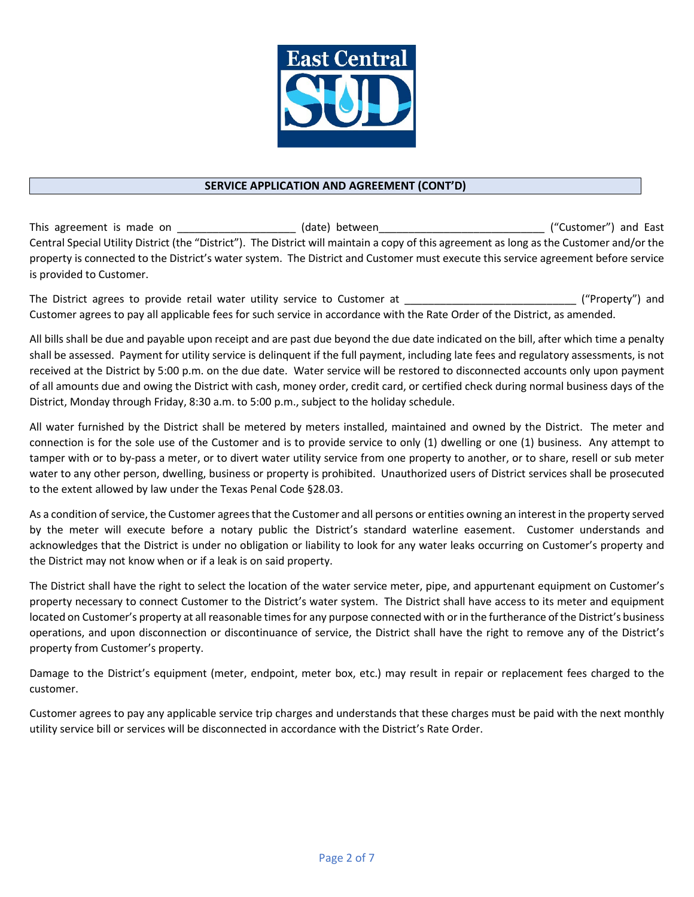

### **SERVICE APPLICATION AND AGREEMENT (CONT'D)**

This agreement is made on \_\_\_\_\_\_\_\_\_\_\_\_\_\_\_\_\_\_\_\_\_(date) between\_\_\_\_\_\_\_\_\_\_\_\_\_\_\_\_\_\_\_\_\_\_\_\_\_\_\_\_\_\_\_\_("Customer") and East Central Special Utility District (the "District"). The District will maintain a copy of this agreement as long as the Customer and/or the property is connected to the District's water system. The District and Customer must execute this service agreement before service is provided to Customer.

The District agrees to provide retail water utility service to Customer at The District agrees to provide retail water utility service to Customer at Customer agrees to pay all applicable fees for such service in accordance with the Rate Order of the District, as amended.

All bills shall be due and payable upon receipt and are past due beyond the due date indicated on the bill, after which time a penalty shall be assessed. Payment for utility service is delinquent if the full payment, including late fees and regulatory assessments, is not received at the District by 5:00 p.m. on the due date. Water service will be restored to disconnected accounts only upon payment of all amounts due and owing the District with cash, money order, credit card, or certified check during normal business days of the District, Monday through Friday, 8:30 a.m. to 5:00 p.m., subject to the holiday schedule.

All water furnished by the District shall be metered by meters installed, maintained and owned by the District. The meter and connection is for the sole use of the Customer and is to provide service to only (1) dwelling or one (1) business. Any attempt to tamper with or to by-pass a meter, or to divert water utility service from one property to another, or to share, resell or sub meter water to any other person, dwelling, business or property is prohibited. Unauthorized users of District services shall be prosecuted to the extent allowed by law under the Texas Penal Code §28.03.

As a condition of service, the Customer agrees that the Customer and all persons or entities owning an interest in the property served by the meter will execute before a notary public the District's standard waterline easement. Customer understands and acknowledges that the District is under no obligation or liability to look for any water leaks occurring on Customer's property and the District may not know when or if a leak is on said property.

The District shall have the right to select the location of the water service meter, pipe, and appurtenant equipment on Customer's property necessary to connect Customer to the District's water system. The District shall have access to its meter and equipment located on Customer's property at all reasonable times for any purpose connected with or in the furtherance of the District's business operations, and upon disconnection or discontinuance of service, the District shall have the right to remove any of the District's property from Customer's property.

Damage to the District's equipment (meter, endpoint, meter box, etc.) may result in repair or replacement fees charged to the customer.

Customer agrees to pay any applicable service trip charges and understands that these charges must be paid with the next monthly utility service bill or services will be disconnected in accordance with the District's Rate Order.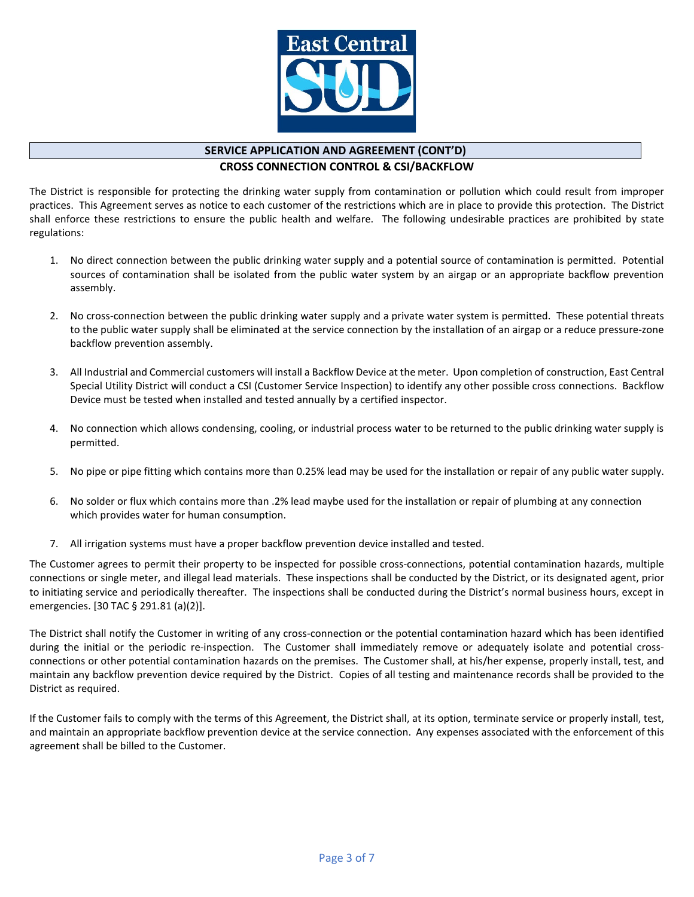

## **SERVICE APPLICATION AND AGREEMENT (CONT'D)**

**CROSS CONNECTION CONTROL & CSI/BACKFLOW**

The District is responsible for protecting the drinking water supply from contamination or pollution which could result from improper practices. This Agreement serves as notice to each customer of the restrictions which are in place to provide this protection. The District shall enforce these restrictions to ensure the public health and welfare. The following undesirable practices are prohibited by state regulations:

- 1. No direct connection between the public drinking water supply and a potential source of contamination is permitted. Potential sources of contamination shall be isolated from the public water system by an airgap or an appropriate backflow prevention assembly.
- 2. No cross-connection between the public drinking water supply and a private water system is permitted. These potential threats to the public water supply shall be eliminated at the service connection by the installation of an airgap or a reduce pressure-zone backflow prevention assembly.
- 3. All Industrial and Commercial customers will install a Backflow Device at the meter. Upon completion of construction, East Central Special Utility District will conduct a CSI (Customer Service Inspection) to identify any other possible cross connections. Backflow Device must be tested when installed and tested annually by a certified inspector.
- 4. No connection which allows condensing, cooling, or industrial process water to be returned to the public drinking water supply is permitted.
- 5. No pipe or pipe fitting which contains more than 0.25% lead may be used for the installation or repair of any public water supply.
- 6. No solder or flux which contains more than .2% lead maybe used for the installation or repair of plumbing at any connection which provides water for human consumption.
- 7. All irrigation systems must have a proper backflow prevention device installed and tested.

The Customer agrees to permit their property to be inspected for possible cross-connections, potential contamination hazards, multiple connections or single meter, and illegal lead materials. These inspections shall be conducted by the District, or its designated agent, prior to initiating service and periodically thereafter. The inspections shall be conducted during the District's normal business hours, except in emergencies. [30 TAC § 291.81 (a)(2)].

The District shall notify the Customer in writing of any cross-connection or the potential contamination hazard which has been identified during the initial or the periodic re-inspection. The Customer shall immediately remove or adequately isolate and potential crossconnections or other potential contamination hazards on the premises. The Customer shall, at his/her expense, properly install, test, and maintain any backflow prevention device required by the District. Copies of all testing and maintenance records shall be provided to the District as required.

If the Customer fails to comply with the terms of this Agreement, the District shall, at its option, terminate service or properly install, test, and maintain an appropriate backflow prevention device at the service connection. Any expenses associated with the enforcement of this agreement shall be billed to the Customer.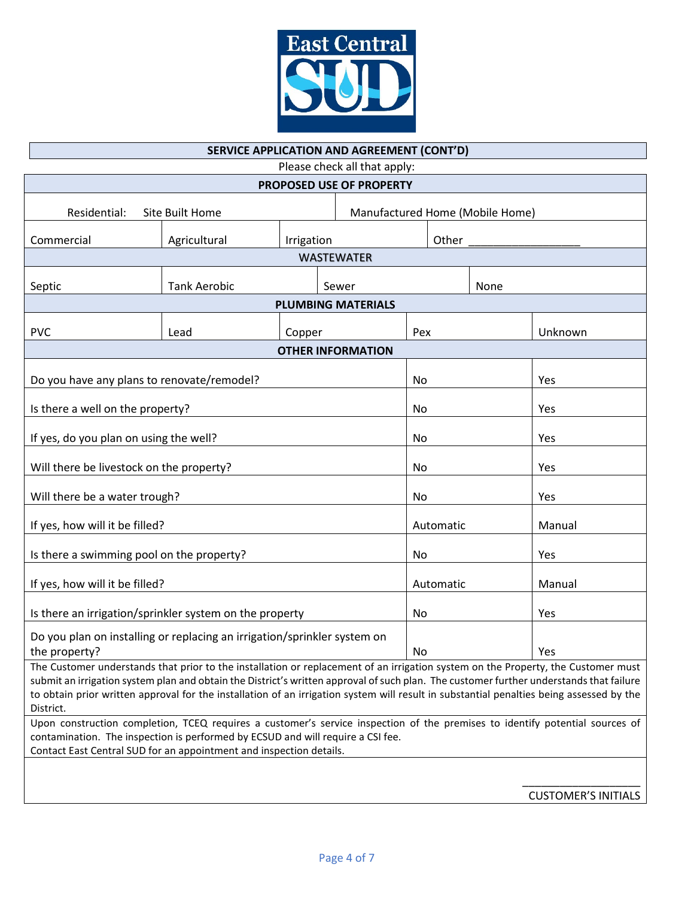

#### **SERVICE APPLICATION AND AGREEMENT (CONT'D)**

Please check all that apply: **PROPOSED USE OF PROPERTY** Residential: Site Built Home Manufactured Home (Mobile Home) Commercial  $\big|$  Agricultural  $\big|$  Irrigation  $\big|$  Other \_\_\_\_\_\_\_\_\_\_\_\_\_\_\_ WASTEWATER Septic Tank Aerobic Sewer Septic None **PLUMBING MATERIALS** PVC Lead Copper Pex Unknown **OTHER INFORMATION** Do you have any plans to renovate/remodel? No and No Yes Is there a well on the property? No All and the property? If yes, do you plan on using the well? No All the set of the No Yes All the Yes All the Yes All the Ves Will there be livestock on the property? No All there is no Yes All there is no Yes Will there be a water trough? No All there is a water trough? If yes, how will it be filled? Automatic and Manual Manual Automatic and Manual Manual Manual Manual Manual Manual Manual Manual Manual Manual Manual Manual Manual Manual Manual Manual Manual Manual Manual Manual Manual Ma Is there a swimming pool on the property? 
<br>
No 
<br>
No 
<br>
Yes If yes, how will it be filled? Automatic and Manual Manual Automatic Manual Manual Manual Manual Manual Manual Is there an irrigation/sprinkler system on the property  $\vert$  No  $\vert$  Yes Do you plan on installing or replacing an irrigation/sprinkler system on the property? No  $\vert$  Yes The Customer understands that prior to the installation or replacement of an irrigation system on the Property, the Customer must submit an irrigation system plan and obtain the District's written approval of such plan. The customer further understands that failure

to obtain prior written approval for the installation of an irrigation system will result in substantial penalties being assessed by the District. Upon construction completion, TCEQ requires a customer's service inspection of the premises to identify potential sources of contamination. The inspection is performed by ECSUD and will require a CSI fee.

Contact East Central SUD for an appointment and inspection details.

\_\_\_\_\_\_\_\_\_\_\_\_\_\_\_\_\_\_\_ CUSTOMER'S INITIALS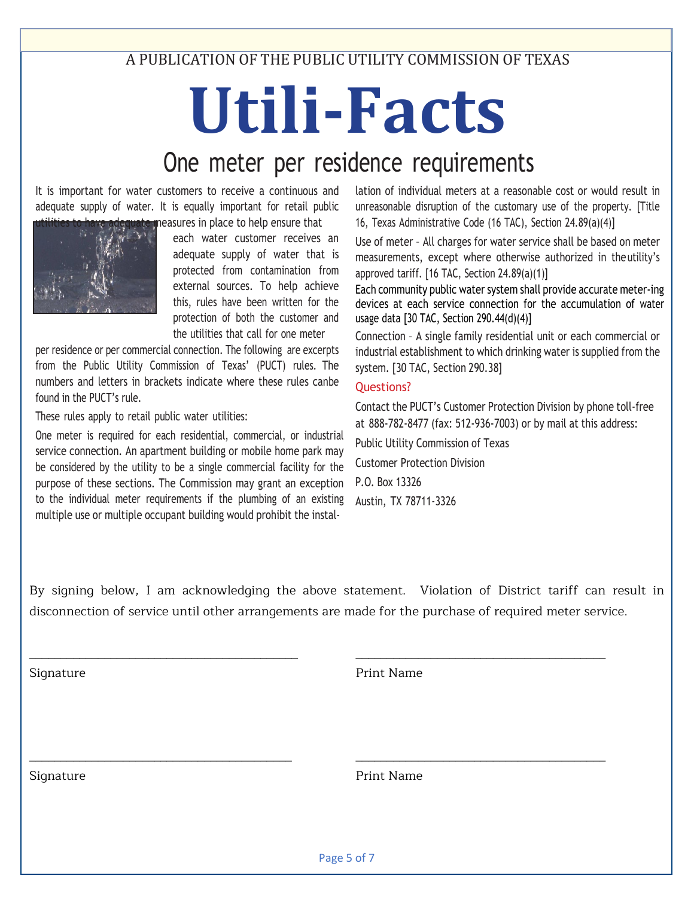A PUBLICATION OF THE PUBLIC UTILITY COMMISSION OF TEXAS

# **Utili-Facts**

# One meter per residence requirements

It is important for water customers to receive a continuous and adequate supply of water. It is equally important for retail public te measures in place to help ensure that



each water customer receives an adequate supply of water that is protected from contamination from external sources. To help achieve this, rules have been written for the protection of both the customer and the utilities that call for one meter

per residence or per commercial connection. The following are excerpts from the Public Utility Commission of Texas' (PUCT) rules. The numbers and letters in brackets indicate where these rules canbe found in the PUCT's rule.

These rules apply to retail public water utilities:

One meter is required for each residential, commercial, or industrial service connection. An apartment building or mobile home park may be considered by the utility to be a single commercial facility for the purpose of these sections. The Commission may grant an exception to the individual meter requirements if the plumbing of an existing multiple use or multiple occupant building would prohibit the instal-

lation of individual meters at a reasonable cost or would result in unreasonable disruption of the customary use of the property. [Title 16, Texas Administrative Code (16 TAC), Section 24.89(a)(4)]

Use of meter – All charges for water service shall be based on meter measurements, except where otherwise authorized in theutility's approved tariff. [16 TAC, Section 24.89(a)(1)]

Each community public water system shall provide accurate meter-ing devices at each service connection for the accumulation of water usage data [30 TAC, Section 290.44(d)(4)]

Connection – A single family residential unit or each commercial or industrial establishment to which drinking water is supplied from the system. [30 TAC, Section 290.38]

### Questions?

Contact the PUCT's Customer Protection Division by phone toll-free at 888-782-8477 (fax: 512-936-7003) or by mail at this address: Public Utility Commission of Texas Customer Protection Division P.O. Box 13326 Austin, TX 78711-3326

By signing below, I am acknowledging the above statement. Violation of District tariff can result in disconnection of service until other arrangements are made for the purchase of required meter service.

\_\_\_\_\_\_\_\_\_\_\_\_\_\_\_\_\_\_\_\_\_\_\_\_\_\_\_\_\_\_\_\_\_\_\_\_\_\_\_\_\_\_\_ \_\_\_\_\_\_\_\_\_\_\_\_\_\_\_\_\_\_\_\_\_\_\_\_\_\_\_\_\_\_\_\_\_\_\_\_\_\_\_\_

\_\_\_\_\_\_\_\_\_\_\_\_\_\_\_\_\_\_\_\_\_\_\_\_\_\_\_\_\_\_\_\_\_\_\_\_\_\_\_\_\_\_ \_\_\_\_\_\_\_\_\_\_\_\_\_\_\_\_\_\_\_\_\_\_\_\_\_\_\_\_\_\_\_\_\_\_\_\_\_\_\_\_

Signature **Print Name** 

Signature **Print Name**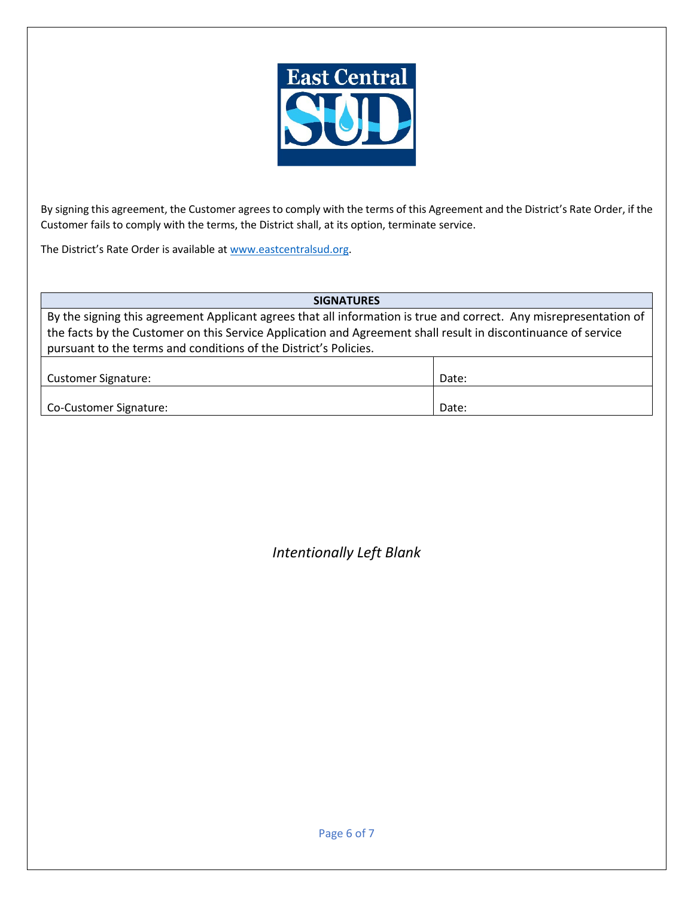

By signing this agreement, the Customer agrees to comply with the terms of this Agreement and the District's Rate Order, if the Customer fails to comply with the terms, the District shall, at its option, terminate service.

The District's Rate Order is available at [www.eastcentralsud.org.](http://www.eastcentralsud.org/)

**SIGNATURES** By the signing this agreement Applicant agrees that all information is true and correct. Any misrepresentation of the facts by the Customer on this Service Application and Agreement shall result in discontinuance of service pursuant to the terms and conditions of the District's Policies. Customer Signature:  $\vert$  Date:  $\vert$ 

| Co-Customer Signature: | Date: |
|------------------------|-------|
|                        |       |

*Intentionally Left Blank*